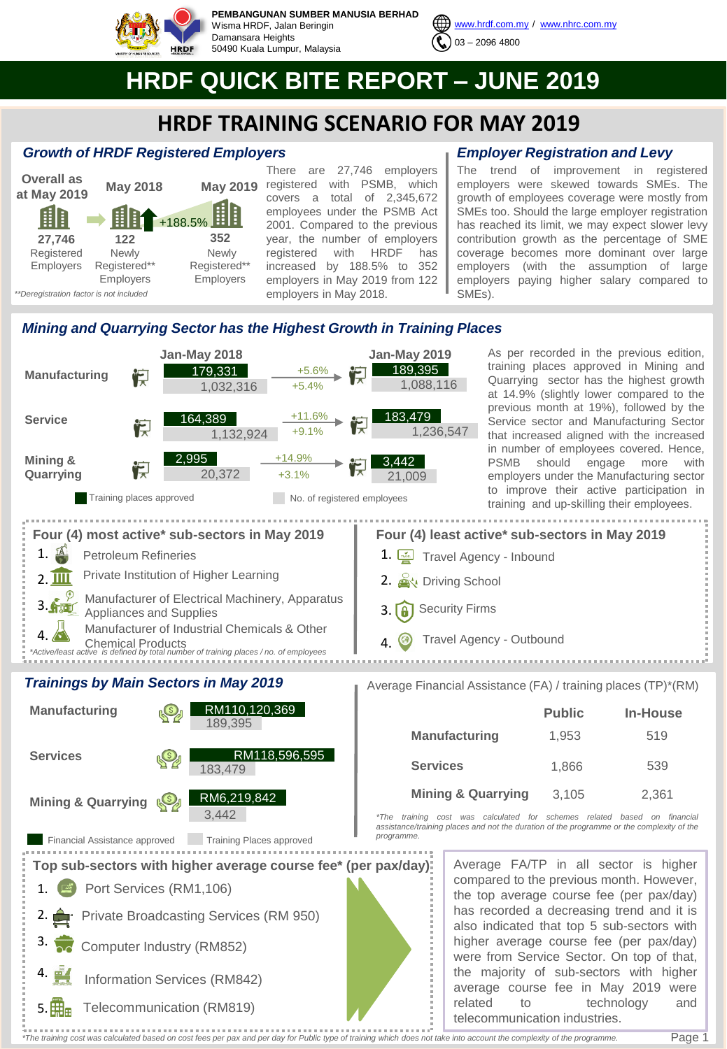

**PEMBANGUNAN SUMBER MANUSIA BERHAD** Wisma HRDF, Jalan Beringin Damansara Heights 50490 Kuala Lumpur, Malaysia



# **HRDF QUICK BITE REPORT – JUNE 2019**

# **HRDF TRAINING SCENARIO FOR MAY 2019**

## *Growth of HRDF Registered Employers*



There are 27,746 employers May 2019 registered with PSMB, which covers a total of 2,345,672 employees under the PSMB Act 2001. Compared to the previous year, the number of employers registered with HRDF has increased by 188.5% to 352 employers in May 2019 from 122 employers in May 2018.

# *Employer Registration and Levy*

The trend of improvement in registered employers were skewed towards SMEs. The growth of employees coverage were mostly from SMEs too. Should the large employer registration has reached its limit, we may expect slower levy contribution growth as the percentage of SME coverage becomes more dominant over large employers (with the assumption of large employers paying higher salary compared to SMEs).

# *Mining and Quarrying Sector has the Highest Growth in Training Places*